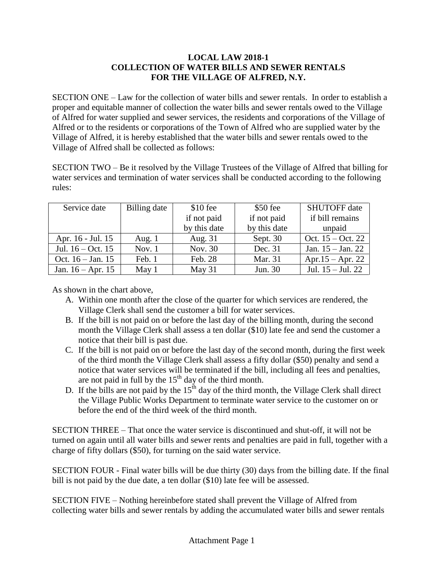## **LOCAL LAW 2018-1 COLLECTION OF WATER BILLS AND SEWER RENTALS FOR THE VILLAGE OF ALFRED, N.Y.**

SECTION ONE – Law for the collection of water bills and sewer rentals. In order to establish a proper and equitable manner of collection the water bills and sewer rentals owed to the Village of Alfred for water supplied and sewer services, the residents and corporations of the Village of Alfred or to the residents or corporations of the Town of Alfred who are supplied water by the Village of Alfred, it is hereby established that the water bills and sewer rentals owed to the Village of Alfred shall be collected as follows:

SECTION TWO – Be it resolved by the Village Trustees of the Village of Alfred that billing for water services and termination of water services shall be conducted according to the following rules:

| Service date        | Billing date | $$10$ fee    | $$50$ fee    | <b>SHUTOFF</b> date   |
|---------------------|--------------|--------------|--------------|-----------------------|
|                     |              | if not paid  | if not paid  | if bill remains       |
|                     |              | by this date | by this date | unpaid                |
| Apr. 16 - Jul. 15   | Aug. $1$     | Aug. 31      | Sept. 30     | Oct. $15 - Oct. 22$   |
| Jul. $16 - Oct. 15$ | Nov. $1$     | Nov. 30      | Dec. 31      | Jan. $15 -$ Jan. 22   |
| Oct. $16 - Jan. 15$ | Feb. 1       | Feb. 28      | Mar. 31      | Apr. $15 -$ Apr. 22   |
| Jan. $16 - Apr. 15$ | May 1        | May 31       | Jun. 30      | Jul. $15 -$ Jul. $22$ |

As shown in the chart above,

- A. Within one month after the close of the quarter for which services are rendered, the Village Clerk shall send the customer a bill for water services.
- B. If the bill is not paid on or before the last day of the billing month, during the second month the Village Clerk shall assess a ten dollar (\$10) late fee and send the customer a notice that their bill is past due.
- C. If the bill is not paid on or before the last day of the second month, during the first week of the third month the Village Clerk shall assess a fifty dollar (\$50) penalty and send a notice that water services will be terminated if the bill, including all fees and penalties, are not paid in full by the  $15<sup>th</sup>$  day of the third month.
- D. If the bills are not paid by the  $15<sup>th</sup>$  day of the third month, the Village Clerk shall direct the Village Public Works Department to terminate water service to the customer on or before the end of the third week of the third month.

SECTION THREE – That once the water service is discontinued and shut-off, it will not be turned on again until all water bills and sewer rents and penalties are paid in full, together with a charge of fifty dollars (\$50), for turning on the said water service.

SECTION FOUR - Final water bills will be due thirty (30) days from the billing date. If the final bill is not paid by the due date, a ten dollar (\$10) late fee will be assessed.

SECTION FIVE – Nothing hereinbefore stated shall prevent the Village of Alfred from collecting water bills and sewer rentals by adding the accumulated water bills and sewer rentals